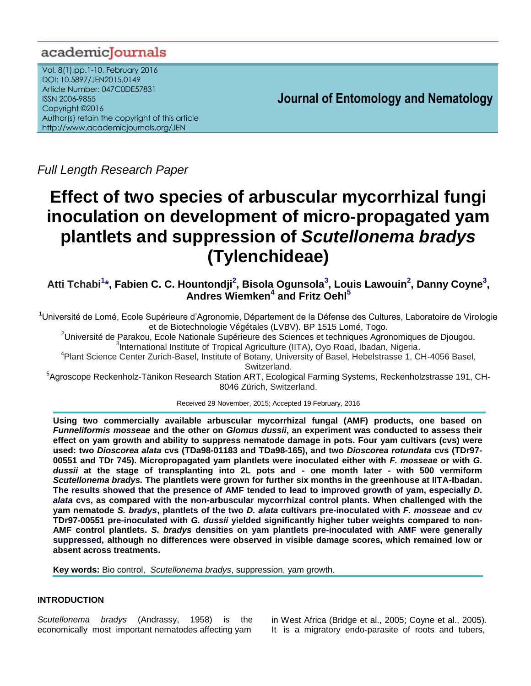## academiclournals

Vol. 8(1),pp.1-10, February 2016 DOI: 10.5897/JEN2015.0149 Article Number: 047C0DE57831 ISSN 2006-9855 Copyright ©2016 Author(s) retain the copyright of this article http://www.academicjournals.org/JEN

**Journal of Entomology and Nematology**

*Full Length Research Paper*

# **Effect of two species of arbuscular mycorrhizal fungi inoculation on development of micro-propagated yam plantlets and suppression of** *Scutellonema bradys* **(Tylenchideae)**

**Atti Tchabi<sup>1</sup> \*, Fabien C. C. Hountondji<sup>2</sup> , Bisola Ogunsola<sup>3</sup> , Louis Lawouin<sup>2</sup> , Danny Coyne<sup>3</sup> , Andres Wiemken<sup>4</sup> and Fritz Oehl<sup>5</sup>**

<sup>1</sup>Université de Lomé, Ecole Supérieure d'Agronomie, Département de la Défense des Cultures, Laboratoire de Virologie et de Biotechnologie Végétales (LVBV). BP 1515 Lomé, Togo.

<sup>2</sup>Université de Parakou, Ecole Nationale Supérieure des Sciences et techniques Agronomiques de Djougou. <sup>3</sup>International Institute of Tropical Agriculture (IITA), Oyo Road, Ibadan, Nigeria.

4 Plant Science Center Zurich-Basel, Institute of Botany, University of Basel, Hebelstrasse 1, CH-4056 Basel, Switzerland.

5 Agroscope Reckenholz-Tänikon Research Station ART, Ecological Farming Systems, Reckenholzstrasse 191, CH-8046 Zürich, Switzerland.

Received 29 November, 2015; Accepted 19 February, 2016

**Using two commercially available arbuscular mycorrhizal fungal (AMF) products, one based on**  *Funneliformis mosseae* **and the other on** *Glomus dussii***, an experiment was conducted to assess their effect on yam growth and ability to suppress nematode damage in pots. Four yam cultivars (cvs) were used: two** *Dioscorea alata* **cvs (TDa98-01183 and TDa98-165), and two** *Dioscorea rotundata* **cvs (TDr97- 00551 and TDr 745). Micropropagated yam plantlets were inoculated either with** *F. mosseae* **or with** *G. dussii* **at the stage of transplanting into 2L pots and - one month later - with 500 vermiform**  *Scutellonema bradys.* **The plantlets were grown for further six months in the greenhouse at IITA-Ibadan. The results showed that the presence of AMF tended to lead to improved growth of yam, especially** *D. alata* **cvs, as compared with the non-arbuscular mycorrhizal control plants. When challenged with the yam nematode** *S. bradys***, plantlets of the two** *D. alata* **cultivars pre-inoculated with** *F. mosseae* **and cv TDr97-00551 pre-inoculated with** *G. dussii* **yielded significantly higher tuber weights compared to non-AMF control plantlets.** *S. bradys* **densities on yam plantlets pre-inoculated with AMF were generally suppressed, although no differences were observed in visible damage scores, which remained low or absent across treatments.**

**Key words:** Bio control, *Scutellonema bradys*, suppression, yam growth.

## **INTRODUCTION**

*Scutellonema bradys* (Andrassy, 1958) is the economically most important nematodes affecting yam in West Africa (Bridge et al., 2005; Coyne et al., 2005). It is a migratory endo-parasite of roots and tubers,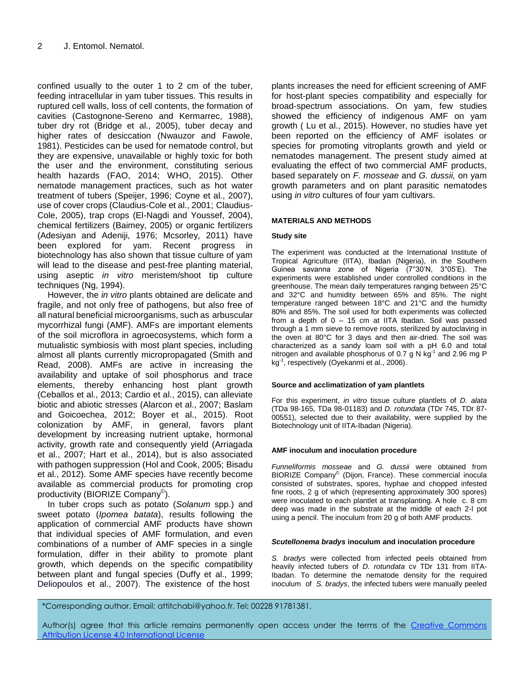confined usually to the outer 1 to 2 cm of the tuber, feeding intracellular in yam tuber tissues. This results in ruptured cell walls, loss of cell contents, the formation of cavities (Castognone-Sereno and Kermarrec, 1988), tuber dry rot (Bridge et al., 2005), tuber decay and higher rates of desiccation [\(Nwauzor and Fawole,](http://www.sciencedirect.com/#bib23)  [1981\)](http://www.sciencedirect.com/#bib23). Pesticides can be used for nematode control, but they are expensive, unavailable or highly toxic for both the user and the environment, constituting serious health hazards (FAO, 2014; WHO, 2015). Other nematode management practices, such as hot water treatment of tubers (Speijer, 1996; Coyne et al., 2007), use of cover crops (Claudius-Cole et al., 2001; Claudius-Cole, 2005), trap crops (El-Nagdi and Youssef, 2004), chemical fertilizers (Baimey, 2005) or organic fertilizers (Adesiyan and Adeniji, 1976; Mcsorley, 2011) have been explored for yam. Recent progress in biotechnology has also shown that tissue culture of yam will lead to the disease and pest-free planting material, using aseptic *in vitro* meristem/shoot tip culture techniques (Ng, 1994).

However, the *in vitro* plants obtained are delicate and fragile, and not only free of pathogens, but also free of all natural beneficial microorganisms, such as arbuscular mycorrhizal fungi (AMF). AMFs are important elements of the soil microflora in agroecosystems, which form a mutualistic symbiosis with most plant species, including almost all plants currently micropropagated (Smith and Read, 2008). AMFs are active in increasing the availability and uptake of soil phosphorus and trace elements, thereby enhancing host plant growth (Ceballos et al., 2013; Cardio et al., 2015), can alleviate biotic and abiotic stresses (Alarcon et al., 2007; Baslam and Goicoechea, 2012; Boyer et al., 2015). Root colonization by AMF, in general, favors plant development by increasing nutrient uptake, hormonal activity, growth rate and consequently yield (Arriagada et al., 2007; Hart et al., 2014), but is also associated with pathogen suppression (Hol and Cook, 2005; Bisadu et al., 2012). Some AMF species have recently become available as commercial products for promoting crop productivity (BIORIZE Company<sup>©</sup>).

In tuber crops such as potato (*Solanum* spp.) and sweet potato (*Ipomea batata*), results following the application of commercial AMF products have shown that individual species of AMF formulation, and even combinations of a number of AMF species in a single formulation, differ in their ability to promote plant growth, which depends on the specific compatibility between plant and fungal species (Duffy et al., 1999; Deliopoulos et al., 2007). The existence of the host

plants increases the need for efficient screening of AMF for host-plant species compatibility and especially for broad-spectrum associations. On yam, few studies showed the efficiency of indigenous AMF on yam growth ( Lu et al., 2015). However, no studies have yet been reported on the efficiency of AMF isolates or species for promoting vitroplants growth and yield or nematodes management. The present study aimed at evaluating the effect of two commercial AMF products, based separately on *F. mosseae* and *G. dussii,* on yam growth parameters and on plant parasitic nematodes using *in vitro* cultures of four yam cultivars.

## **MATERIALS AND METHODS**

## **Study site**

The experiment was conducted at the International Institute of Tropical Agriculture (IITA), Ibadan (Nigeria), in the Southern Guinea savanna zone of Nigeria (7°30'N, 3°05'E). The experiments were established under controlled conditions in the greenhouse. The mean daily temperatures ranging between 25°C and 32°C and humidity between 65% and 85%. The night temperature ranged between 18°C and 21°C and the humidty 80% and 85%. The soil used for both experiments was collected from a depth of  $0 - 15$  cm at IITA Ibadan. Soil was passed through a 1 mm sieve to remove roots, sterilized by autoclaving in the oven at 80°C for 3 days and then air-dried. The soil was characterized as a sandy loam soil with a pH 6.0 and total nitrogen and available phosphorus of 0.7 g N  $kg^{-1}$  and 2.96 mg P kg-1 , respectively (Oyekanmi et al., 2006).

## **Source and acclimatization of yam plantlets**

For this experiment, *in vitro* tissue culture plantlets of *D. alata* (TDa 98-165, TDa 98-01183) and *D. rotundata* (TDr 745, TDr 87- 00551), selected due to their availability, were supplied by the Biotechnology unit of IITA-Ibadan (Nigeria).

## **AMF inoculum and inoculation procedure**

*Funneliformis mosseae* and *G. dussii* were obtained from BIORIZE Company<sup>©</sup> (Dijon, France). These commercial inocula consisted of substrates, spores, hyphae and chopped infested fine roots, 2 g of which (representing approximately 300 spores) were inoculated to each plantlet at transplanting. A hole c. 8 cm deep was made in the substrate at the middle of each 2-l pot using a pencil. The inoculum from 20 g of both AMF products.

## *Scutellonema bradys* **inoculum and inoculation procedure**

*S. bradys* were collected from infected peels obtained from heavily infected tubers of *D. rotundata* cv TDr 131 from IITA-Ibadan. To determine the nematode density for the required inoculum of *S. bradys*, the infected tubers were manually peeled

\*Corresponding author. Email: attitchabi@yahoo.fr. Tel: 00228 91781381.

Author(s) agree that this article remains permanently open access under the terms of the Creative Commons [Attribution License 4.0 International License](http://creativecommons.org/licenses/by/4.0/deed.en_US)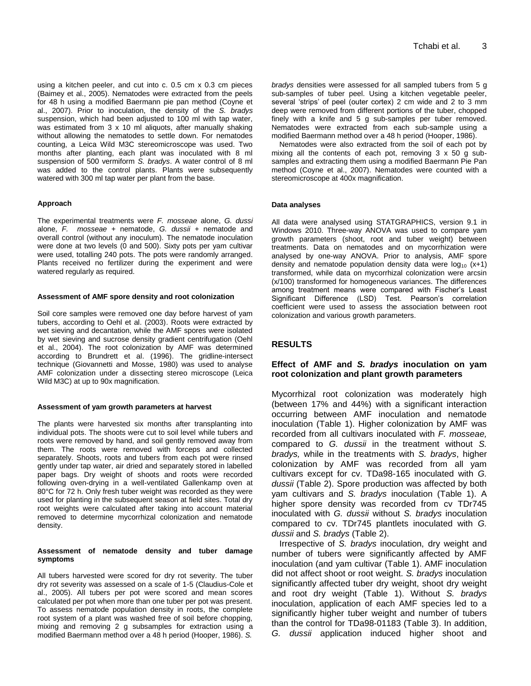using a kitchen peeler, and cut into c. 0.5 cm x 0.3 cm pieces (Baimey et al., 2005). Nematodes were extracted from the peels for 48 h using a modified Baermann pie pan method (Coyne et al., 2007). Prior to inoculation, the density of the *S. bradys* suspension, which had been adjusted to 100 ml with tap water, was estimated from 3 x 10 ml aliquots, after manually shaking without allowing the nematodes to settle down. For nematodes counting, a Leica Wild M3C stereomicroscope was used. Two months after planting, each plant was inoculated with 8 ml suspension of 500 vermiform *S. bradys*. A water control of 8 ml was added to the control plants. Plants were subsequently watered with 300 ml tap water per plant from the base.

#### **Approach**

The experimental treatments were *F. mosseae* alone, *G. dussi* alone, *F. mosseae* + nematode, *G. dussii* + nematode and overall control (without any inoculum). The nematode inoculation were done at two levels (0 and 500). Sixty pots per yam cultivar were used, totalling 240 pots. The pots were randomly arranged. Plants received no fertilizer during the experiment and were watered regularly as required.

#### **Assessment of AMF spore density and root colonization**

Soil core samples were removed one day before harvest of yam tubers, according to Oehl et al. (2003). Roots were extracted by wet sieving and decantation, while the AMF spores were isolated by wet sieving and sucrose density gradient centrifugation (Oehl et al., 2004). The root colonization by AMF was determined according to Brundrett et al. (1996). The gridline-intersect technique (Giovannetti and Mosse, 1980) was used to analyse AMF colonization under a dissecting stereo microscope (Leica Wild M3C) at up to 90x magnification.

#### **Assessment of yam growth parameters at harvest**

The plants were harvested six months after transplanting into individual pots. The shoots were cut to soil level while tubers and roots were removed by hand, and soil gently removed away from them. The roots were removed with forceps and collected separately. Shoots, roots and tubers from each pot were rinsed gently under tap water, air dried and separately stored in labelled paper bags. Dry weight of shoots and roots were recorded following oven-drying in a well-ventilated Gallenkamp oven at 80°C for 72 h. Only fresh tuber weight was recorded as they were used for planting in the subsequent season at field sites. Total dry root weights were calculated after taking into account material removed to determine mycorrhizal colonization and nematode density.

#### **Assessment of nematode density and tuber damage symptoms**

All tubers harvested were scored for dry rot severity. The tuber dry rot severity was assessed on a scale of 1-5 (Claudius-Cole et al., 2005). All tubers per pot were scored and mean scores calculated per pot when more than one tuber per pot was present. To assess nematode population density in roots, the complete root system of a plant was washed free of soil before chopping, mixing and removing 2 g subsamples for extraction using a modified Baermann method over a 48 h period (Hooper, 1986). *S.*

*bradys* densities were assessed for all sampled tubers from 5 g sub-samples of tuber peel. Using a kitchen vegetable peeler, several 'strips' of peel (outer cortex) 2 cm wide and 2 to 3 mm deep were removed from different portions of the tuber, chopped finely with a knife and 5 g sub-samples per tuber removed. Nematodes were extracted from each sub-sample using a modified Baermann method over a 48 h period (Hooper, 1986).

Nematodes were also extracted from the soil of each pot by mixing all the contents of each pot, removing 3 x 50 g subsamples and extracting them using a modified Baermann Pie Pan method (Coyne et al., 2007). Nematodes were counted with a stereomicroscope at 400x magnification.

#### **Data analyses**

All data were analysed using STATGRAPHICS, version 9.1 in Windows 2010. Three-way ANOVA was used to compare yam growth parameters (shoot, root and tuber weight) between treatments. Data on nematodes and on mycorrhization were analysed by one-way ANOVA. Prior to analysis, AMF spore density and nematode population density data were  $log_{10}$  (x+1) transformed, while data on mycorrhizal colonization were arcsin (x/100) transformed for homogeneous variances. The differences among treatment means were compared with Fischer's Least Significant Difference (LSD) Test. Pearson's correlation coefficient were used to assess the association between root colonization and various growth parameters.

### **RESULTS**

## **Effect of AMF and** *S. bradys* **inoculation on yam root colonization and plant growth parameters**

Mycorrhizal root colonization was moderately high (between 17% and 44%) with a significant interaction occurring between AMF inoculation and nematode inoculation (Table 1). Higher colonization by AMF was recorded from all cultivars inoculated with *F. mosseae,* compared to *G. dussii* in the treatment without *S. bradys,* while in the treatments with *S. bradys*, higher colonization by AMF was recorded from all yam cultivars except for cv. TDa98-165 inoculated with *G. dussii* (Table 2). Spore production was affected by both yam cultivars and *S. bradys* inoculation (Table 1). A higher spore density was recorded from cv TDr745 inoculated with *G. dussii* without *S. bradys* inoculation compared to cv. TDr745 plantlets inoculated with *G. dussii* and *S. bradys* (Table 2).

Irrespective of *S. bradys* inoculation, dry weight and number of tubers were significantly affected by AMF inoculation (and yam cultivar (Table 1). AMF inoculation did not affect shoot or root weight. *S. bradys* inoculation significantly affected tuber dry weight, shoot dry weight and root dry weight (Table 1). Without *S. bradys* inoculation, application of each AMF species led to a significantly higher tuber weight and number of tubers than the control for TDa98-01183 (Table 3). In addition, *G. dussii* application induced higher shoot and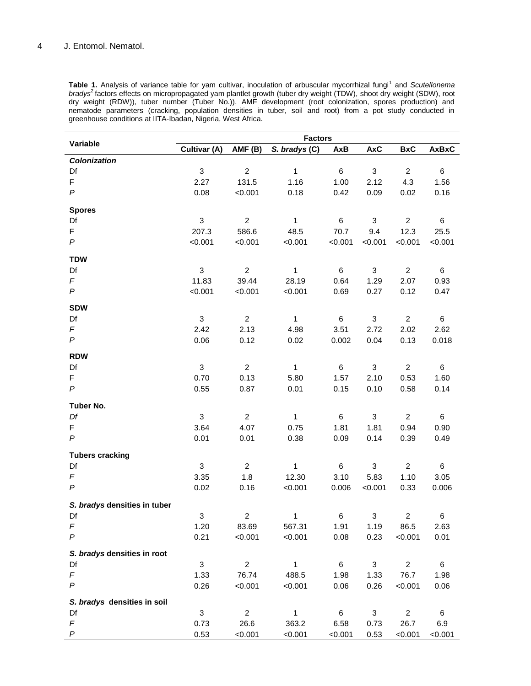Table 1. Analysis of variance table for yam cultivar, inoculation of arbuscular mycorrhizal fungi<sup>1</sup> and *Scutellonema bradys*<sup>2</sup>factors effects on micropropagated yam plantlet growth (tuber dry weight (TDW), shoot dry weight (SDW), root dry weight (RDW)), tuber number (Tuber No.)), AMF development (root colonization, spores production) and nematode parameters (cracking, population densities in tuber, soil and root) from a pot study conducted in greenhouse conditions at IITA-Ibadan, Nigeria, West Africa.

|                              | <b>Factors</b> |                |                |                 |              |                |              |  |  |
|------------------------------|----------------|----------------|----------------|-----------------|--------------|----------------|--------------|--|--|
| Variable                     | Cultivar (A)   | AMF(B)         | S. bradys (C)  | <b>AxB</b>      | <b>AxC</b>   | <b>BxC</b>     | <b>AxBxC</b> |  |  |
| <b>Colonization</b>          |                |                |                |                 |              |                |              |  |  |
| Df                           | 3              | $\overline{c}$ | 1              | $\,6\,$         | 3            | $\overline{c}$ | 6            |  |  |
| F                            | 2.27           | 131.5          | 1.16           | 1.00            | 2.12         | 4.3            | 1.56         |  |  |
| $\boldsymbol{P}$             | 0.08           | < 0.001        | 0.18           | 0.42            | 0.09         | 0.02           | 0.16         |  |  |
| <b>Spores</b>                |                |                |                |                 |              |                |              |  |  |
| Df                           | 3              | $\overline{2}$ | $\mathbf{1}$   | $\,6\,$         | 3            | $\overline{2}$ | 6            |  |  |
| F                            | 207.3          | 586.6          | 48.5           | 70.7            | 9.4          | 12.3           | 25.5         |  |  |
| $\boldsymbol{P}$             | < 0.001        | < 0.001        | < 0.001        | < 0.001         | < 0.001      | < 0.001        | < 0.001      |  |  |
| <b>TDW</b>                   |                |                |                |                 |              |                |              |  |  |
| Df                           | $\mathbf 3$    | $\overline{c}$ | 1              | $\,6$           | $\sqrt{3}$   | $\overline{2}$ | 6            |  |  |
| $\digamma$                   | 11.83          | 39.44          | 28.19          | 0.64            | 1.29         | 2.07           | 0.93         |  |  |
| P                            | < 0.001        | < 0.001        | < 0.001        | 0.69            | 0.27         | 0.12           | 0.47         |  |  |
| <b>SDW</b>                   |                |                |                |                 |              |                |              |  |  |
| Df                           | 3              | $\overline{2}$ | $\mathbf{1}$   | $\,6\,$         | 3            | $\overline{2}$ | 6            |  |  |
| $\digamma$                   | 2.42           | 2.13           | 4.98           | 3.51            | 2.72         | 2.02           | 2.62         |  |  |
| $\boldsymbol{P}$             | 0.06           | 0.12           | 0.02           | 0.002           | 0.04         | 0.13           | 0.018        |  |  |
| <b>RDW</b>                   |                |                |                |                 |              |                |              |  |  |
| Df                           | 3              | $\overline{c}$ | 1              | $\,6$           | $\sqrt{3}$   | $\overline{a}$ | 6            |  |  |
| F                            | 0.70           | 0.13           | 5.80           | 1.57            | 2.10         | 0.53           | 1.60         |  |  |
| $\boldsymbol{P}$             | 0.55           | 0.87           | 0.01           | 0.15            | 0.10         | 0.58           | 0.14         |  |  |
| Tuber No.                    |                |                |                |                 |              |                |              |  |  |
| Df                           | 3              | $\overline{a}$ | 1              | 6               | 3            | $\overline{c}$ | 6            |  |  |
| F                            | 3.64           | 4.07           | 0.75           | 1.81            | 1.81         | 0.94           | 0.90         |  |  |
| $\boldsymbol{P}$             | 0.01           | 0.01           | 0.38           | 0.09            | 0.14         | 0.39           | 0.49         |  |  |
| <b>Tubers cracking</b>       |                |                |                |                 |              |                |              |  |  |
| Df                           | $\sqrt{3}$     | $\overline{c}$ | 1              | $\,6\,$         | 3            | $\overline{c}$ | 6            |  |  |
| F                            | 3.35           | 1.8            | 12.30          | 3.10            | 5.83         | 1.10           | 3.05         |  |  |
| $\boldsymbol{P}$             | 0.02           | 0.16           | < 0.001        | 0.006           | < 0.001      | 0.33           | 0.006        |  |  |
| S. bradys densities in tuber |                |                |                |                 |              |                |              |  |  |
| Df                           | 3              | 2              | $\overline{1}$ | 6               | 3            | $\overline{a}$ | 6            |  |  |
| F                            | 1.20           | 83.69          | 567.31         | 1.91            | 1.19         | 86.5           | 2.63         |  |  |
| $\boldsymbol{P}$             | 0.21           | < 0.001        | < 0.001        | 0.08            | 0.23         | < 0.001        | 0.01         |  |  |
| S. bradys densities in root  |                |                |                |                 |              |                |              |  |  |
| Df                           | 3              | $\overline{2}$ | $\mathbf{1}$   | $6\phantom{.}6$ | $\mathbf{3}$ | $\overline{2}$ | 6            |  |  |
| F                            | 1.33           | 76.74          | 488.5          | 1.98            | 1.33         | 76.7           | 1.98         |  |  |
| $\boldsymbol{P}$             | 0.26           | < 0.001        | < 0.001        | 0.06            | 0.26         | < 0.001        | 0.06         |  |  |
| S. bradys densities in soil  |                |                |                |                 |              |                |              |  |  |
| Df                           | 3              | $\overline{2}$ | $\mathbf{1}$   | $\,6\,$         | 3            | $\overline{a}$ | 6            |  |  |
| F                            | 0.73           | 26.6           | 363.2          | 6.58            | 0.73         | 26.7           | 6.9          |  |  |
| P                            | 0.53           | < 0.001        | < 0.001        | < 0.001         | 0.53         | < 0.001        | < 0.001      |  |  |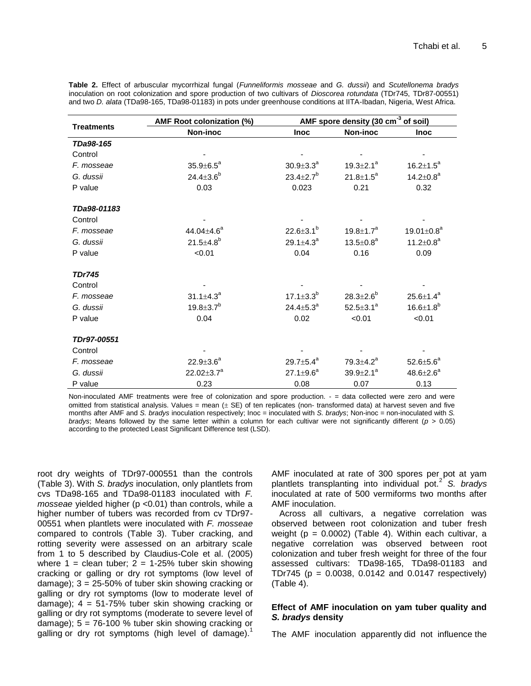|  | Table 2. Effect of arbuscular mycorrhizal fungal (Funneliformis mosseae and G. dussii) and Scutellonema bradys      |  |  |  |  |  |
|--|---------------------------------------------------------------------------------------------------------------------|--|--|--|--|--|
|  | inoculation on root colonization and spore production of two cultivars of Dioscorea rotundata (TDr745, TDr87-00551) |  |  |  |  |  |
|  | and two D. alata (TDa98-165, TDa98-01183) in pots under greenhouse conditions at IITA-Ibadan, Nigeria, West Africa. |  |  |  |  |  |

|                   | AMF Root colonization (%)    | AMF spore density (30 cm <sup>-3</sup> of soil) |                             |                              |  |  |
|-------------------|------------------------------|-------------------------------------------------|-----------------------------|------------------------------|--|--|
| <b>Treatments</b> | Non-inoc                     | <b>Inoc</b>                                     | Non-inoc                    | <b>Inoc</b>                  |  |  |
| TDa98-165         |                              |                                                 |                             |                              |  |  |
| Control           |                              |                                                 |                             |                              |  |  |
| F. mosseae        | $35.9 \pm 6.5^a$             | $30.9 \pm 3.3^a$                                | $19.3 \pm 2.1^a$            | $16.2 \pm 1.5^a$             |  |  |
| G. dussii         | $24.4 \pm 3.6^b$             | $23.4 \pm 2.7$ <sup>b</sup>                     | $21.8 \pm 1.5^a$            | $14.2 \pm 0.8^a$             |  |  |
| P value           | 0.03                         | 0.023                                           | 0.21                        | 0.32                         |  |  |
| TDa98-01183       |                              |                                                 |                             |                              |  |  |
| Control           |                              |                                                 |                             |                              |  |  |
| F. mosseae        | 44.04 $\pm$ 4.6 <sup>a</sup> | $22.6 \pm 3.1^{b}$                              | 19.8 $\pm$ 1.7 $^{a}$       | 19.01 $\pm$ 0.8 <sup>a</sup> |  |  |
| G. dussii         | $21.5 \pm 4.8$ <sup>b</sup>  | 29.1 $\pm$ 4.3 <sup>a</sup>                     | $13.5 \pm 0.8^a$            | $11.2 \pm 0.8^a$             |  |  |
| P value           | < 0.01                       | 0.04                                            | 0.16                        | 0.09                         |  |  |
| <b>TDr745</b>     |                              |                                                 |                             |                              |  |  |
| Control           |                              |                                                 |                             |                              |  |  |
| F. mosseae        | $31.1 \pm 4.3^a$             | 17.1 $\pm$ 3.3 $^{\circ}$                       | $28.3 \pm 2.6^b$            | $25.6 \pm 1.4^a$             |  |  |
| G. dussii         | $19.8 \pm 3.7^b$             | $24.4 \pm 5.3^a$                                | $52.5 \pm 3.1^a$            | $16.6 \pm 1.8^b$             |  |  |
| P value           | 0.04                         | 0.02                                            | < 0.01                      | < 0.01                       |  |  |
| TDr97-00551       |                              |                                                 |                             |                              |  |  |
| Control           |                              |                                                 |                             |                              |  |  |
| F. mosseae        | $22.9 \pm 3.6^a$             | 29.7 $\pm$ 5.4 $^{a}$                           | 79.3 $\pm$ 4.2 <sup>a</sup> | $52.6 \pm 5.6^a$             |  |  |
| G. dussii         | 22.02 $\pm$ 3.7 <sup>a</sup> | $27.1 \pm 9.6^a$                                | $39.9 \pm 2.1^a$            | $48.6 \pm 2.6^a$             |  |  |
| P value           | 0.23                         | 0.08                                            | 0.07                        | 0.13                         |  |  |

Non-inoculated AMF treatments were free of colonization and spore production. - = data collected were zero and were omitted from statistical analysis. Values = mean  $(\pm S\epsilon)$  of ten replicates (non- transformed data) at harvest seven and five months after AMF and *S. bradys* inoculation respectively; Inoc = inoculated with *S. bradys*; Non-inoc = non-inoculated with *S. bradys*; Means followed by the same letter within a column for each cultivar were not significantly different (*p* > 0.05) according to the protected Least Significant Difference test (LSD).

root dry weights of TDr97-000551 than the controls (Table 3). With *S. bradys* inoculation, only plantlets from cvs TDa98-165 and TDa98-01183 inoculated with *F. mosseae* yielded higher (p <0.01) than controls, while a higher number of tubers was recorded from cv TDr97- 00551 when plantlets were inoculated with *F. mosseae* compared to controls (Table 3). Tuber cracking, and rotting severity were assessed on an arbitrary scale from 1 to 5 described by Claudius-Cole et al. (2005) where  $1 =$  clean tuber;  $2 = 1-25%$  tuber skin showing cracking or galling or dry rot symptoms (low level of damage); 3 = 25-50% of tuber skin showing cracking or galling or dry rot symptoms (low to moderate level of damage);  $4 = 51-75\%$  tuber skin showing cracking or galling or dry rot symptoms (moderate to severe level of damage);  $5 = 76-100$  % tuber skin showing cracking or galling or dry rot symptoms (high level of damage).<sup>1</sup>

AMF inoculated at rate of 300 spores per pot at yam plantlets transplanting into individual pot.<sup>2</sup> *S. bradys* inoculated at rate of 500 vermiforms two months after AMF inoculation.

Across all cultivars, a negative correlation was observed between root colonization and tuber fresh weight ( $p = 0.0002$ ) (Table 4). Within each cultivar, a negative correlation was observed between root colonization and tuber fresh weight for three of the four assessed cultivars: TDa98-165, TDa98-01183 and TDr745 ( $p = 0.0038$ , 0.0142 and 0.0147 respectively) (Table 4).

## **Effect of AMF inoculation on yam tuber quality and**  *S. bradys* **density**

The AMF inoculation apparently did not influence the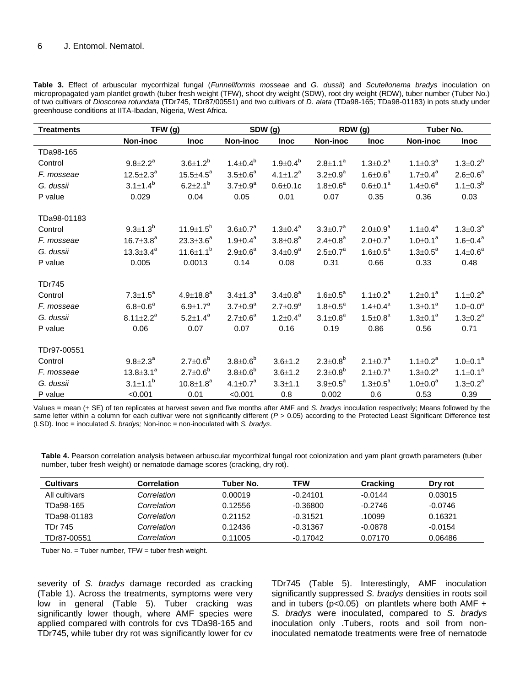**Table 3.** Effect of arbuscular mycorrhizal fungal (*Funneliformis mosseae* and *G. dussii*) and *Scutellonema bradys* inoculation on micropropagated yam plantlet growth (tuber fresh weight (TFW), shoot dry weight (SDW), root dry weight (RDW), tuber number (Tuber No.) of two cultivars of *Dioscorea rotundata* (TDr745, TDr87/00551) and two cultivars of *D. alata* (TDa98-165; TDa98-01183) in pots study under greenhouse conditions at IITA-Ibadan, Nigeria, West Africa.

| <b>Treatments</b> | TFW (g)               |                             | SDW (g)         |                 | RDW (g)               |                            | Tuber No.       |                   |
|-------------------|-----------------------|-----------------------------|-----------------|-----------------|-----------------------|----------------------------|-----------------|-------------------|
|                   | Non-inoc              | <b>Inoc</b>                 | Non-inoc        | <b>Inoc</b>     | Non-inoc              | <b>Inoc</b>                | <b>Non-inoc</b> | <b>Inoc</b>       |
| TDa98-165         |                       |                             |                 |                 |                       |                            |                 |                   |
| Control           | $9.8 \pm 2.2^a$       | $3.6 \pm 1.2^{b}$           | $1.4 \pm 0.4^b$ | $1.9 \pm 0.4^b$ | $2.8 \pm 1.1^a$       | $1.3 \pm 0.2^a$            | $1.1 \pm 0.3^a$ | $1.3 \pm 0.2^b$   |
| F. mosseae        | $12.5 \pm 2.3^a$      | $15.5 \pm 4.5^a$            | $3.5 \pm 0.6^a$ | $4.1 \pm 1.2^a$ | $3.2 \pm 0.9^a$       | $1.6 \pm 0.6^a$            | $1.7 \pm 0.4^a$ | $2.6 \pm 0.6^a$   |
| G. dussii         | $3.1 \pm 1.4^{b}$     | $6.2 \pm 2.1^{b}$           | $3.7 \pm 0.9^a$ | $0.6 + 0.1c$    | $1.8 \pm 0.6^a$       | $0.6 \pm 0.1^a$            | $1.4 \pm 0.6^a$ | $1.1 \pm 0.3^{b}$ |
| P value           | 0.029                 | 0.04                        | 0.05            | 0.01            | 0.07                  | 0.35                       | 0.36            | 0.03              |
| TDa98-01183       |                       |                             |                 |                 |                       |                            |                 |                   |
| Control           | $9.3 \pm 1.3^{b}$     | 11.9 $\pm$ 1.5 <sup>b</sup> | $3.6 \pm 0.7^a$ | $1.3 \pm 0.4^a$ | $3.3 \pm 0.7^a$       | $2.0 \pm 0.9^a$            | $1.1 \pm 0.4^a$ | $1.3 \pm 0.3^a$   |
| F. mosseae        | $16.7 \pm 3.8^a$      | $23.3 \pm 3.6^a$            | $1.9 \pm 0.4^a$ | $3.8 \pm 0.8^a$ | $2.4 \pm 0.8^a$       | $2.0 \pm 0.7$ <sup>a</sup> | $1.0 \pm 0.1^a$ | $1.6 \pm 0.4^a$   |
| G. dussii         | $13.3 \pm 3.4^a$      | 11.6 $\pm$ 1.1 <sup>b</sup> | $2.9 \pm 0.6^a$ | $3.4 \pm 0.9^a$ | $2.5 \pm 0.7^a$       | $1.6 \pm 0.5^a$            | $1.3 \pm 0.5^a$ | $1.4 \pm 0.6^a$   |
| P value           | 0.005                 | 0.0013                      | 0.14            | 0.08            | 0.31                  | 0.66                       | 0.33            | 0.48              |
| <b>TDr745</b>     |                       |                             |                 |                 |                       |                            |                 |                   |
| Control           | $7.3 \pm 1.5^a$       | $4.9 \pm 18.8^a$            | $3.4 \pm 1.3^a$ | $3.4 \pm 0.8^a$ | $1.6 \pm 0.5^a$       | $1.1 \pm 0.2^a$            | $1.2 \pm 0.1^a$ | $1.1 \pm 0.2^a$   |
| F. mosseae        | $6.8 \pm 0.6^a$       | $6.9 \pm 1.7^a$             | $3.7 \pm 0.9^a$ | $2.7 \pm 0.9^a$ | $1.8 \pm 0.5^a$       | $1.4 \pm 0.4^a$            | $1.3 \pm 0.1^a$ | $1.0 \pm 0.0^a$   |
| G. dussii         | $8.11 \pm 2.2^a$      | $5.2 \pm 1.4^a$             | $2.7 \pm 0.6^a$ | $1.2 \pm 0.4^a$ | $3.1 \pm 0.8^a$       | $1.5 \pm 0.8^a$            | $1.3 \pm 0.1^a$ | $1.3 \pm 0.2^a$   |
| P value           | 0.06                  | 0.07                        | 0.07            | 0.16            | 0.19                  | 0.86                       | 0.56            | 0.71              |
| TDr97-00551       |                       |                             |                 |                 |                       |                            |                 |                   |
| Control           | $9.8 \pm 2.3^{\circ}$ | $2.7 \pm 0.6^b$             | $3.8 \pm 0.6^b$ | $3.6 \pm 1.2$   | $2.3 \pm 0.8^b$       | $2.1 \pm 0.7^a$            | $1.1 \pm 0.2^a$ | $1.0 \pm 0.1^a$   |
| F. mosseae        | $13.8 \pm 3.1^a$      | $2.7 \pm 0.6^b$             | $3.8 \pm 0.6^b$ | $3.6 + 1.2$     | $2.3 \pm 0.8^b$       | $2.1 \pm 0.7^a$            | $1.3 \pm 0.2^a$ | $1.1 \pm 0.1^a$   |
| G. dussii         | $3.1 \pm 1.1^b$       | $10.8 \pm 1.8^a$            | $4.1 \pm 0.7^a$ | $3.3 + 1.1$     | $3.9 \pm 0.5^{\circ}$ | $1.3 \pm 0.5^a$            | $1.0 + 0.0^a$   | $1.3 \pm 0.2^a$   |
| P value           | < 0.001               | 0.01                        | < 0.001         | 0.8             | 0.002                 | 0.6                        | 0.53            | 0.39              |

Values = mean (± SE) of ten replicates at harvest seven and five months after AMF and *S. bradys* inoculation respectively; Means followed by the same letter within a column for each cultivar were not significantly different ( $P > 0.05$ ) according to the Protected Least Significant Difference test (LSD). Inoc = inoculated *S. bradys;* Non-inoc = non-inoculated with *S. bradys*.

**Table 4.** Pearson correlation analysis between arbuscular mycorrhizal fungal root colonization and yam plant growth parameters (tuber number, tuber fresh weight) or nematode damage scores (cracking, dry rot).

| <b>Cultivars</b> | Correlation | Tuber No. | TFW        | Cracking  | Dry rot   |
|------------------|-------------|-----------|------------|-----------|-----------|
| All cultivars    | Correlation | 0.00019   | $-0.24101$ | $-0.0144$ | 0.03015   |
| TDa98-165        | Correlation | 0.12556   | $-0.36800$ | $-0.2746$ | -0.0746   |
| TDa98-01183      | Correlation | 0.21152   | $-0.31521$ | .10099    | 0.16321   |
| TDr 745          | Correlation | 0.12436   | $-0.31367$ | $-0.0878$ | $-0.0154$ |
| TDr87-00551      | Correlation | 0.11005   | $-0.17042$ | 0.07170   | 0.06486   |

Tuber No. = Tuber number, TFW = tuber fresh weight.

severity of *S. bradys* damage recorded as cracking (Table 1). Across the treatments, symptoms were very low in general (Table 5). Tuber cracking was significantly lower though, where AMF species were applied compared with controls for cvs TDa98-165 and TDr745, while tuber dry rot was significantly lower for cv

TDr745 (Table 5). Interestingly, AMF inoculation significantly suppressed *S. bradys* densities in roots soil and in tubers ( $p < 0.05$ ) on plantlets where both AMF  $+$ *S. bradys* were inoculated, compared to *S. bradys* inoculation only .Tubers, roots and soil from noninoculated nematode treatments were free of nematode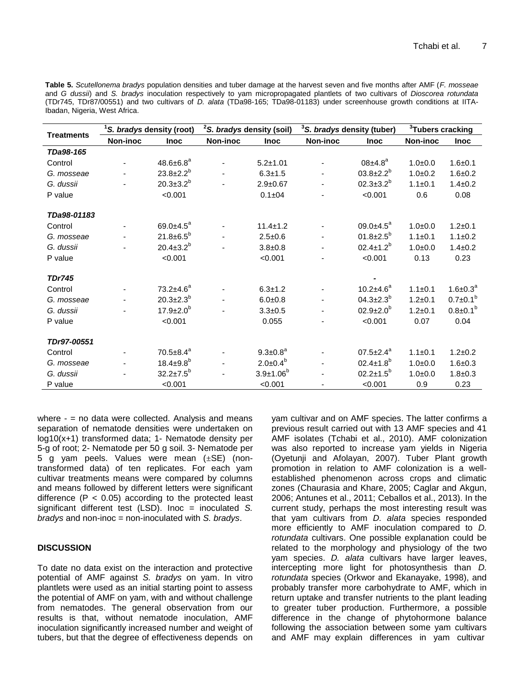**Table 5.** *Scutellonema bradys* population densities and tuber damage at the harvest seven and five months after AMF (*F. mosseae* and *G dussii*) and *S. bradys* inoculation respectively to yam micropropagated plantlets of two cultivars of *Dioscorea rotundata* (TDr745, TDr87/00551) and two cultivars of *D. alata* (TDa98-165; TDa98-01183) under screenhouse growth conditions at IITA-Ibadan, Nigeria, West Africa.

| <b>Treatments</b> | <sup>1</sup> S. bradys density (root) |                             | <sup>2</sup> S. bradys density (soil) |                    | <sup>3</sup> S. bradys density (tuber) |                        | <sup>3</sup> Tubers cracking |                 |
|-------------------|---------------------------------------|-----------------------------|---------------------------------------|--------------------|----------------------------------------|------------------------|------------------------------|-----------------|
|                   | Non-inoc                              | <b>Inoc</b>                 | Non-inoc                              | <b>Inoc</b>        | Non-inoc                               | <b>Inoc</b>            | Non-inoc                     | <b>Inoc</b>     |
| TDa98-165         |                                       |                             |                                       |                    |                                        |                        |                              |                 |
| Control           |                                       | $48.6 \pm 6.8^a$            |                                       | $5.2 \pm 1.01$     |                                        | $08±4.8^a$             | $1.0 + 0.0$                  | $1.6 + 0.1$     |
| G. mosseae        |                                       | $23.8 \pm 2.2^b$            |                                       | $6.3 + 1.5$        |                                        | $03.8 \pm 2.2^b$       | $1.0 + 0.2$                  | $1.6 + 0.2$     |
| G. dussii         |                                       | $20.3 \pm 3.2^b$            |                                       | $2.9 + 0.67$       |                                        | $02.3 \pm 3.2^b$       | $1.1 \pm 0.1$                | $1.4 \pm 0.2$   |
| P value           |                                       | < 0.001                     |                                       | $0.1 + 04$         |                                        | < 0.001                | 0.6                          | 0.08            |
| TDa98-01183       |                                       |                             |                                       |                    |                                        |                        |                              |                 |
| Control           |                                       | 69.0 $\pm$ 4.5 <sup>a</sup> |                                       | $11.4 \pm 1.2$     |                                        | $09.0 \pm 4.5^a$       | $1.0 + 0.0$                  | $1.2 + 0.1$     |
| G. mosseae        |                                       | $21.8 \pm 6.5^b$            |                                       | $2.5 + 0.6$        |                                        | $01.8 \pm 2.5^{\circ}$ | $1.1 \pm 0.1$                | $1.1 \pm 0.2$   |
| G. dussii         |                                       | $20.4 \pm 3.2^b$            |                                       | $3.8 + 0.8$        |                                        | $02.4 \pm 1.2^b$       | $1.0 + 0.0$                  | $1.4 \pm 0.2$   |
| P value           |                                       | < 0.001                     |                                       | < 0.001            |                                        | < 0.001                | 0.13                         | 0.23            |
| <b>TDr745</b>     |                                       |                             |                                       |                    |                                        |                        |                              |                 |
| Control           |                                       | $73.2 + 4.6^a$              |                                       | $6.3 \pm 1.2$      |                                        | $10.2 \pm 4.6^a$       | $1.1 \pm 0.1$                | $1.6 \pm 0.3^a$ |
| G. mosseae        |                                       | $20.3 \pm 2.3^b$            |                                       | $6.0 + 0.8$        |                                        | $04.3{\pm}2.3^{b}$     | $1.2 + 0.1$                  | $0.7 \pm 0.1^b$ |
| G. dussii         |                                       | $17.9 \pm 2.0^{\circ}$      |                                       | $3.3 + 0.5$        |                                        | $02.9{\pm}2.0^b$       | $1.2 + 0.1$                  | $0.8 \pm 0.1^b$ |
| P value           |                                       | < 0.001                     |                                       | 0.055              |                                        | < 0.001                | 0.07                         | 0.04            |
| TDr97-00551       |                                       |                             |                                       |                    |                                        |                        |                              |                 |
| Control           |                                       | $70.5 \pm 8.4^a$            |                                       | $9.3 \pm 0.8^a$    |                                        | $07.5 \pm 2.4^a$       | $1.1 \pm 0.1$                | $1.2 + 0.2$     |
| G. mosseae        |                                       | $18.4 \pm 9.8$ <sup>b</sup> |                                       | $2.0 \pm 0.4^b$    |                                        | $02.4 \pm 1.8^{b}$     | $1.0 + 0.0$                  | $1.6 + 0.3$     |
| G. dussii         |                                       | $32.2 \pm 7.5^b$            |                                       | $3.9 \pm 1.06^{b}$ |                                        | $02.2 \pm 1.5^b$       | $1.0 + 0.0$                  | $1.8 + 0.3$     |
| P value           |                                       | < 0.001                     |                                       | < 0.001            |                                        | < 0.001                | 0.9                          | 0.23            |

where  $-$  = no data were collected. Analysis and means separation of nematode densities were undertaken on log10(x+1) transformed data; 1- Nematode density per 5-g of root; 2- Nematode per 50 g soil. 3- Nematode per 5 g yam peels. Values were mean  $(\pm SE)$  (nontransformed data) of ten replicates. For each yam cultivar treatments means were compared by columns and means followed by different letters were significant difference ( $P < 0.05$ ) according to the protected least significant different test (LSD). Inoc = inoculated *S. bradys* and non-inoc = non-inoculated with *S. bradys*.

## **DISCUSSION**

To date no data exist on the interaction and protective potential of AMF against *S. bradys* on yam. In vitro plantlets were used as an initial starting point to assess the potential of AMF on yam, with and without challenge from nematodes. The general observation from our results is that, without nematode inoculation, AMF inoculation significantly increased number and weight of tubers, but that the degree of effectiveness depends on yam cultivar and on AMF species. The latter confirms a previous result carried out with 13 AMF species and 41 AMF isolates (Tchabi et al., 2010). AMF colonization was also reported to increase yam yields in Nigeria (Oyetunji and Afolayan, 2007). Tuber Plant growth promotion in relation to AMF colonization is a wellestablished phenomenon across crops and climatic zones (Chaurasia and Khare, 2005; Caglar and Akgun, 2006; Antunes et al., 2011; Ceballos et al., 2013). In the current study, perhaps the most interesting result was that yam cultivars from *D. alata* species responded more efficiently to AMF inoculation compared to *D. rotundata* cultivars. One possible explanation could be related to the morphology and physiology of the two yam species. *D. alata* cultivars have larger leaves, intercepting more light for photosynthesis than *D. rotundata* species (Orkwor and Ekanayake, 1998), and probably transfer more carbohydrate to AMF, which in return uptake and transfer nutrients to the plant leading to greater tuber production. Furthermore, a possible difference in the change of phytohormone balance following the association between some yam cultivars and AMF may explain differences in yam cultivar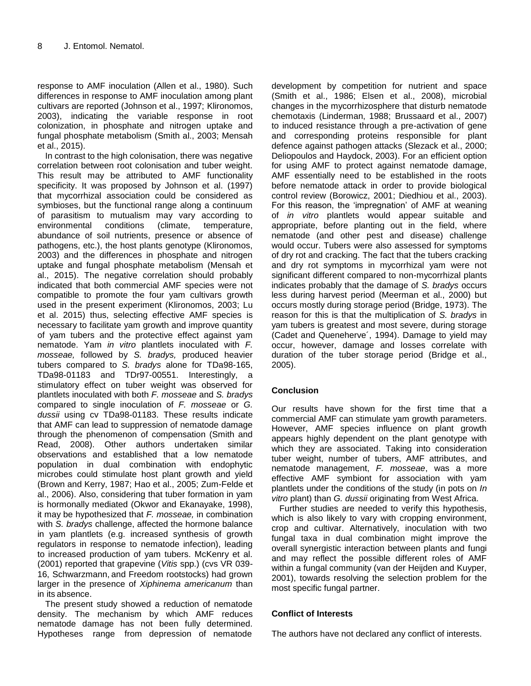response to AMF inoculation (Allen et al., 1980). Such differences in response to AMF inoculation among plant cultivars are reported (Johnson et al., 1997; Klironomos, 2003), indicating the variable response in root colonization, in phosphate and nitrogen uptake and fungal phosphate metabolism (Smith al., 2003; Mensah et al., 2015).

In contrast to the high colonisation, there was negative correlation between root colonisation and tuber weight. This result may be attributed to AMF functionality specificity. It was proposed by Johnson et al. (1997) that mycorrhizal association could be considered as symbioses, but the functional range along a continuum of parasitism to mutualism may vary according to environmental conditions (climate, temperature, abundance of soil nutrients, presence or absence of pathogens, etc.), the host plants genotype (Klironomos, 2003) and the differences in phosphate and nitrogen uptake and fungal phosphate metabolism (Mensah et al., 2015). The negative correlation should probably indicated that both commercial AMF species were not compatible to promote the four yam cultivars growth used in the present experiment (Klironomos, 2003; Lu et al. 2015) thus, selecting effective AMF species is necessary to facilitate yam growth and improve quantity of yam tubers and the protective effect against yam nematode. Yam *in vitro* plantlets inoculated with *F. mosseae,* followed by *S. bradys,* produced heavier tubers compared to *S. bradys* alone for TDa98-165, TDa98-01183 and TDr97-00551. Interestingly, a stimulatory effect on tuber weight was observed for plantlets inoculated with both *F. mosseae* and *S. bradys* compared to single inoculation of *F. mosseae* or *G. dussii* using cv TDa98-01183. These results indicate that AMF can lead to suppression of nematode damage through the phenomenon of compensation (Smith and Read, 2008). Other authors undertaken similar observations and established that a low nematode population in dual combination with endophytic microbes could stimulate host plant growth and yield (Brown and Kerry, 1987; Hao et al., 2005; Zum-Felde et al., 2006). Also, considering that tuber formation in yam is hormonally mediated (Okwor and Ekanayake, 1998), it may be hypothesized that *F. mosseae,* in combination with *S. bradys* challenge, affected the hormone balance in yam plantlets (e.g. increased synthesis of growth regulators in response to nematode infection), leading to increased production of yam tubers. McKenry et al. (2001) reported that grapevine (*Vitis* spp.) (cvs VR 039- 16, Schwarzmann, and Freedom rootstocks) had grown larger in the presence of *Xiphinema americanum* than in its absence.

The present study showed a reduction of nematode density. The mechanism by which AMF reduces nematode damage has not been fully determined. Hypotheses range from depression of nematode development by competition for nutrient and space (Smith et al., 1986; Elsen et al., 2008), microbial changes in the mycorrhizosphere that disturb nematode chemotaxis (Linderman, 1988; Brussaard et al., 2007) to induced resistance through a pre-activation of gene and corresponding proteins responsible for plant defence against pathogen attacks (Slezack et al., 2000; Deliopoulos and Haydock, 2003). For an efficient option for using AMF to protect against nematode damage, AMF essentially need to be established in the roots before nematode attack in order to provide biological control review (Borowicz, 2001; Diedhiou et al., 2003). For this reason, the 'impregnation' of AMF at weaning of *in vitro* plantlets would appear suitable and appropriate, before planting out in the field, where nematode (and other pest and disease) challenge would occur. Tubers were also assessed for symptoms of dry rot and cracking. The fact that the tubers cracking and dry rot symptoms in mycorrhizal yam were not significant different compared to non-mycorrhizal plants indicates probably that the damage of *S. bradys* occurs less during harvest period (Meerman et al., 2000) but occurs mostly during storage period (Bridge, 1973). The reason for this is that the multiplication of *S. bradys* in yam tubers is greatest and most severe, during storage (Cadet and Queneherve´, 1994). Damage to yield may occur, however, damage and losses correlate with duration of the tuber storage period (Bridge et al., 2005).

## **Conclusion**

Our results have shown for the first time that a commercial AMF can stimulate yam growth parameters. However, AMF species influence on plant growth appears highly dependent on the plant genotype with which they are associated. Taking into consideration tuber weight, number of tubers, AMF attributes, and nematode management, *F. mosseae*, was a more effective AMF symbiont for association with yam plantlets under the conditions of the study (in pots on *In vitro* plant) than *G. dussii* originating from West Africa.

Further studies are needed to verify this hypothesis, which is also likely to vary with cropping environment, crop and cultivar. Alternatively, inoculation with two fungal taxa in dual combination might improve the overall synergistic interaction between plants and fungi and may reflect the possible different roles of AMF within a fungal community (van der Heijden and Kuyper, 2001), towards resolving the selection problem for the most specific fungal partner.

## **Conflict of Interests**

The authors have not declared any conflict of interests.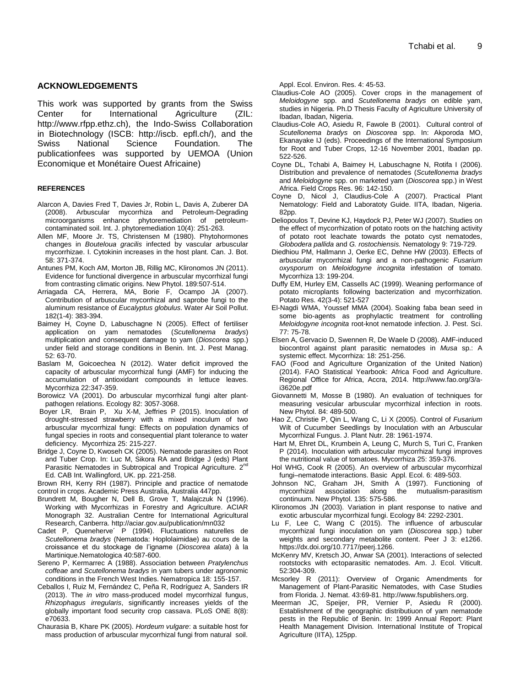## **ACKNOWLEDGEMENTS**

This work was supported by grants from the Swiss Center for International Agriculture (ZIL: http://www.rfpp.ethz.ch), the Indo-Swiss Collaboration in Biotechnology (ISCB: http://iscb. epfl.ch/), and the Swiss National Science Foundation. The publicationfees was supported by UEMOA (Union Economique et Monétaire Ouest Africaine)

#### **REFERENCES**

- Alarcon A, Davies Fred T, Davies Jr, Robin L, Davis A, Zuberer DA (2008). Arbuscular mycorrhiza and Petroleum-Degrading microorganisms enhance phytoremediation of petroleumcontaminated soil. Int. J. phytoremediation 10(4): 251-263.
- Allen MF, Moore Jr. TS, Christensen M (1980). Phytohormones changes in *Bouteloua gracilis* infected by vascular arbuscular mycorrhizae. I. Cytokinin increases in the host plant. Can. J. Bot. 58: 371-374.
- Antunes PM, Koch AM, Morton JB, Rillig MC, Klironomos JN (2011). Evidence for functional divergence in arbuscular mycorrhizal fungi from contrasting climatic origins. New Phytol. 189:507-514.
- Arriagada CA, Herrera, MA, Borie F, Ocampo JA (2007). Contribution of arbuscular mycorrhizal and saprobe fungi to the aluminum resistance of *Eucalyptus globulus*. Water Air Soil Pollut. 182(1-4): 383-394.
- Baimey H, Coyne D, Labuschagne N (2005). Effect of fertiliser application on yam nematodes (*Scutellonema bradys*) multiplication and consequent damage to yam (*Dioscorea* spp.) under field and storage conditions in Benin. Int. J. Pest Manag. 52: 63-70.
- Baslam M, Goicoechea N (2012). Water deficit improved the capacity of arbuscular mycorrhizal fungi (AMF) for inducing the accumulation of antioxidant compounds in lettuce leaves. Mycorrhiza 22:347-359.
- Borowicz VA (2001). Do arbuscular mycorrhizal fungi alter plantpathogen relations. Ecology 82: 3057-3068.
- [Boyer](http://link.springer.com/search?facet-author=%22Louisa+Robinson+Boyer%22) LR, [Brain](http://link.springer.com/search?facet-author=%22Philip+Brain%22) P, [Xu](http://link.springer.com/search?facet-author=%22Xiang-Ming+Xu%22) X-M, [Jeffries](http://link.springer.com/search?facet-author=%22Peter+Jeffries%22) P (2015). Inoculation of drought-stressed strawberry with a mixed inoculum of two arbuscular mycorrhizal fungi: Effects on population dynamics of fungal species in roots and consequential plant tolerance to water deficiency. Mycorrhiza 25: 215-227.
- Bridge J, Coyne D, Kwoseh CK (2005). Nematode parasites on Root and Tuber Crop. In: Luc M, Sikora RA and Bridge J (eds) Plant Parasitic Nematodes in Subtropical and Tropical Agriculture.  $2^{nc}$ Ed. CAB Int. Wallingford, UK. pp. 221-258.

Brown RH, Kerry RH (1987). Principle and practice of nematode control in crops. Academic Press Australia, Australia 447pp.

- Brundrett M, Bougher N, Dell B, Grove T, Malajczuk N (1996). Working with Mycorrhizas in Forestry and Agriculture. ACIAR Monograph 32. Australian Centre for International Agricultural Research, Canberra. http://aciar.gov.au/publication/mn032
- Cadet P, Queneherve´ P (1994). Fluctuations naturelles de *Scutellonema bradys* (Nematoda: Hoplolaimidae) au cours de la croissance et du stockage de l'igname (*Dioscorea alata*) à la Martinique.Nematologica 40:587-600.
- Sereno P, Kermarrec A (1988). Association between *Pratylenchus coffeae* and *Scutellonema bradys* in yam tubers under agronomic conditions in the French West Indies. Nematropica 18: 155-157.
- Ceballos I, Ruiz M, Fernández C, Peña R, Rodríguez A, Sanders IR (2013). The *in vitro* mass-produced model mycorrhizal fungus, *Rhizophagus irregularis*, significantly increases yields of the globally important food security crop cassava. PLoS ONE 8(8): e70633.
- Chaurasia B, Khare PK (2005). *Hordeum vulgare*: a suitable host for mass production of arbuscular mycorrhizal fungi from natural soil.

Appl. Ecol. Environ. Res. 4: 45-53.

- Claudius-Cole AO (2005). Cover crops in the management of *Meloidogyne* spp. and *Scutellonema bradys* on edible yam, studies in Nigeria. Ph.D Thesis Faculty of Agriculture University of Ibadan, Ibadan, Nigeria.
- Claudius-Cole AO, Asiedu R, Fawole B (2001). Cultural control of *Scutellonema bradys* on *Dioscorea* spp. In: Akporoda MO, Ekanayake IJ (eds). Proceedings of the International Symposium for Root and Tuber Crops, 12-16 November 2001, Ibadan pp. 522-526.
- Coyne DL, Tchabi A, Baimey H, Labuschagne N, Rotifa I (2006). Distribution and prevalence of nematodes (*Scutellonema bradys* and *Meloidogyne* spp. on marketed yam (*Dioscorea* spp.) in West Africa. Field Crops Res. 96: 142-150.
- Coyne D, Nicol J, Claudius-Cole A (2007). Practical Plant Nematology: Field and Laboratoty Guide. IITA, Ibadan, Nigeria. 82pp.
- Deliopoulos T, Devine KJ, Haydock PJ, Peter WJ (2007). Studies on the effect of mycorrhization of potato roots on the hatching activity of potato root leachate towards the potato cyst nematodes, *Globodera pallida* and *G. rostochiensis.* Nematology [9:](http://www.springerlink.com/content/lm71347q14g5/?p=c245e370fc50483fac3563a2a39a61d1&pi=0) 719-729.
- Diedhiou PM, Hallmann J, Oerke EC, Dehne HW (2003). Effects of arbuscular mycorrhizal fungi and a non-pathogenic *Fusarium oxysporum* on *Meloidogyne incognita* infestation of tomato. Mycorrhiza 13: 199-204.
- Duffy EM, Hurley EM, Cassells AC (1999). Weaning performance of potato microplants following bacterization and mycorrhization. Potato Res. 42(3-4): 521-527
- El-Nagdi WMA, Youssef MMA (2004). Soaking faba bean seed in some bio-agents as prophylactic treatment for controlling *Meloidogyne incognita* root-knot nematode infection. J. Pest. Sci. 77: 75-78.
- Elsen A, Gervacio D, Swennen R, De Waele D (2008). AMF-induced biocontrol against plant parasitic nematodes in *Musa* sp.: A systemic effect. Mycorrhiza: 18: 251-256.
- FAO (Food and Agriculture Organization of the United Nation) (2014). FAO Statistical Yearbook: Africa Food and Agriculture. Regional Office for Africa, Accra, 2014. http://www.fao.org/3/ai3620e.pdf
- Giovannetti M, Mosse B (1980). An evaluation of techniques for measuring vesicular arbuscular mycorrhizal infection in roots. New Phytol. 84: 489-500.
- Hao Z, Christie P, Qin L, Wang C, Li X (2005). Control of *Fusarium* Wilt of Cucumber Seedlings by Inoculation with an Arbuscular Mycorrhizal Fungus. J. Plant Nutr. 28: 1961-1974.
- [Hart](http://link.springer.com/search?facet-author=%22Miranda+Hart%22) M, [Ehret](http://link.springer.com/search?facet-author=%22David+L.+Ehret%22) DL[, Krumbein](http://link.springer.com/search?facet-author=%22Angelika+Krumbein%22) A, [Leung](http://link.springer.com/search?facet-author=%22Connie+Leung%22) C, [Murch](http://link.springer.com/search?facet-author=%22Susan+Murch%22) S[, Turi](http://link.springer.com/search?facet-author=%22Christina+Turi%22) C, [Franken](http://link.springer.com/search?facet-author=%22Philipp+Franken%22) P (2014). Inoculation with arbuscular mycorrhizal fungi improves the nutritional value of tomatoes. Mycorrhiza 25: 359-376.
- Hol WHG, Cook R (2005). An overview of arbuscular mycorrhizal fungi–nematode interactions[. Basic Appl.](http://www.sciencedirect.com/science/journal/14391791) Ecol. 6: 489-503.
- Johnson NC, Graham JH, Smith A (1997). Functioning of mycorrhizal association along the mutualism-parasitism continuum. New Phytol. 135: 575-586.
- Klironomos JN (2003). Variation in plant response to native and exotic arbuscular mycorrhizal fungi. Ecology 84: 2292-2301.
- Lu F, Lee C, Wang C (2015). The influence of arbuscular mycorrhizal fungi inoculation on yam (*Dioscorea* spp.) tuber weights and secondary metabolite content. Peer J 3: e1266. https://dx.doi.org/10.7717/peerj.1266.
- McKenry MV, Kretsch JO, Anwar SA (2001). Interactions of selected rootstocks with ectoparasitic nematodes. Am. J. Ecol. Viticult. 52:304-309.
- Mcsorley R (2011): Overview of Organic Amendments for Management of Plant-Parasitic Nematodes, with Case Studies from Florida. J. Nemat. 43:69-81. http://www.fspublishers.org.
- Meerman JC, Speijer, PR, Vernier P, Asiedu R (2000). Establishment of the geographic distributiuon of yam nematode pests in the Republic of Benin. In: 1999 Annual Report: Plant Health Management Division. International Institute of Tropical Agriculture (IITA), 125pp.